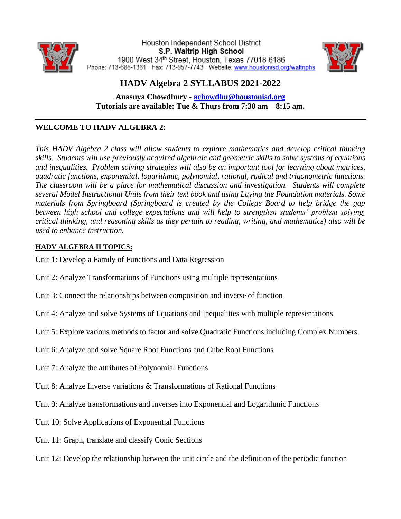

Houston Independent School District S.P. Waltrip High School 1900 West 34th Street, Houston, Texas 77018-6186 Phone: 713-688-1361 · Fax: 713-957-7743 · Website: www.houstonisd.org/waltriphs



## **HADV Algebra 2 SYLLABUS 2021-2022**

**Anasuya Chowdhury - [achowdhu@houstonisd.org](mailto:achowdhu@houstonisd.org) Tutorials are available: Tue & Thurs from 7:30 am – 8:15 am.** 

### **WELCOME TO HADV ALGEBRA 2:**

*This HADV Algebra 2 class will allow students to explore mathematics and develop critical thinking skills. Students will use previously acquired algebraic and geometric skills to solve systems of equations and inequalities. Problem solving strategies will also be an important tool for learning about matrices, quadratic functions, exponential, logarithmic, polynomial, rational, radical and trigonometric functions. The classroom will be a place for mathematical discussion and investigation. Students will complete several Model Instructional Units from their text book and using Laying the Foundation materials. Some materials from Springboard (Springboard is created by the College Board to help bridge the gap between high school and college expectations and will help to strengthen students' problem solving, critical thinking, and reasoning skills as they pertain to reading, writing, and mathematics) also will be used to enhance instruction.*

#### **HADV ALGEBRA II TOPICS:**

- Unit 1: Develop a Family of Functions and Data Regression
- Unit 2: Analyze Transformations of Functions using multiple representations
- Unit 3: Connect the relationships between composition and inverse of function
- Unit 4: Analyze and solve Systems of Equations and Inequalities with multiple representations
- Unit 5: Explore various methods to factor and solve Quadratic Functions including Complex Numbers.
- Unit 6: Analyze and solve Square Root Functions and Cube Root Functions
- Unit 7: Analyze the attributes of Polynomial Functions
- Unit 8: Analyze Inverse variations & Transformations of Rational Functions
- Unit 9: Analyze transformations and inverses into Exponential and Logarithmic Functions
- Unit 10: Solve Applications of Exponential Functions
- Unit 11: Graph, translate and classify Conic Sections
- Unit 12: Develop the relationship between the unit circle and the definition of the periodic function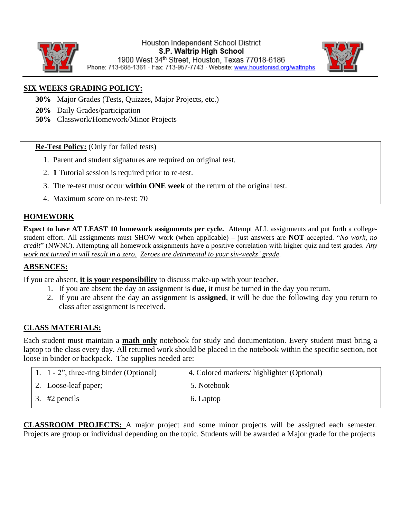

#### Houston Independent School District S.P. Waltrip High School 1900 West 34th Street, Houston, Texas 77018-6186 Phone: 713-688-1361 · Fax: 713-957-7743 · Website: www.houstonisd.org/waltriphs



**SIX WEEKS GRADING POLICY:**

- **30%** Major Grades (Tests, Quizzes, Major Projects, etc.)
- **20%** Daily Grades/participation
- **50%** Classwork/Homework/Minor Projects

**Re-Test Policy:** (Only for failed tests)

- 1. Parent and student signatures are required on original test.
- 2. **1** Tutorial session is required prior to re-test.
- 3. The re-test must occur **within ONE week** of the return of the original test.
- 4. Maximum score on re-test: 70

#### **HOMEWORK**

**Expect to have AT LEAST 10 homework assignments per cycle.** Attempt ALL assignments and put forth a collegestudent effort. All assignments must SHOW work (when applicable) – just answers are **NOT** accepted. "*No work, no credit*" (NWNC). Attempting all homework assignments have a positive correlation with higher quiz and test grades. *Any work not turned in will result in a zero. Zeroes are detrimental to your six-weeks' grade*.

#### **ABSENCES:**

If you are absent, **it is your responsibility** to discuss make-up with your teacher.

- 1. If you are absent the day an assignment is **due**, it must be turned in the day you return.
- 2. If you are absent the day an assignment is **assigned**, it will be due the following day you return to class after assignment is received.

#### **CLASS MATERIALS:**

Each student must maintain a **math only** notebook for study and documentation. Every student must bring a laptop to the class every day. All returned work should be placed in the notebook within the specific section, not loose in binder or backpack. The supplies needed are:

| 1. 1 - 2", three-ring binder (Optional) | 4. Colored markers/highlighter (Optional) |
|-----------------------------------------|-------------------------------------------|
| 2. Loose-leaf paper;                    | 5. Notebook                               |
| 3. $#2$ pencils                         | 6. Laptop                                 |

**CLASSROOM PROJECTS:** A major project and some minor projects will be assigned each semester. Projects are group or individual depending on the topic. Students will be awarded a Major grade for the projects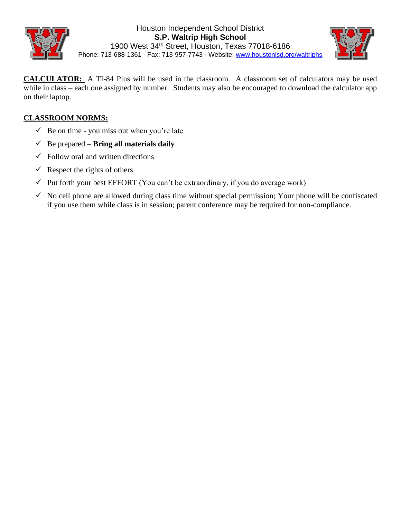



Phone: 713-688-1361 · Fax: 713-957-7743 · Website: [www.houstonisd.org/waltriphs](http://www.houstonisd.org/waltriphs)

**CALCULATOR:** A TI-84 Plus will be used in the classroom. A classroom set of calculators may be used while in class – each one assigned by number. Students may also be encouraged to download the calculator app on their laptop.

#### **CLASSROOM NORMS:**

- $\checkmark$  Be on time you miss out when you're late
- $\checkmark$  Be prepared **Bring all materials daily**
- $\checkmark$  Follow oral and written directions
- $\checkmark$  Respect the rights of others
- $\checkmark$  Put forth your best EFFORT (You can't be extraordinary, if you do average work)
- $\checkmark$  No cell phone are allowed during class time without special permission; Your phone will be confiscated if you use them while class is in session; parent conference may be required for non-compliance.